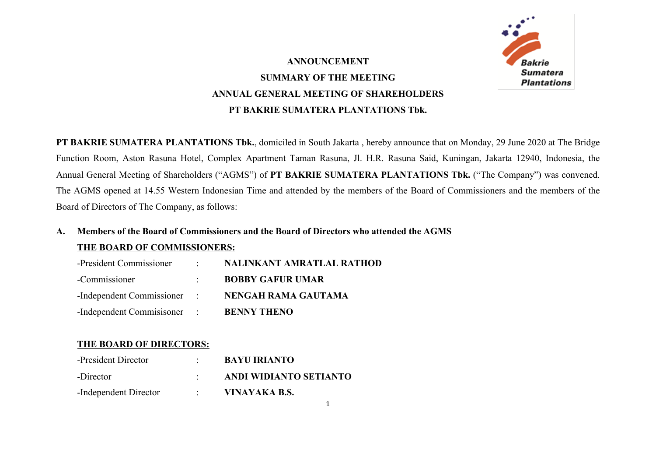

# **ANNOUNCEMENT SUMMARY OF THE MEETING ANNUAL GENERAL MEETING OF SHAREHOLDERS PT BAKRIE SUMATERA PLANTATIONS Tbk.**

**PT BAKRIE SUMATERA PLANTATIONS Tbk.**, domiciled in South Jakarta , hereby announce that on Monday, 29 June 2020 at The Bridge Function Room, Aston Rasuna Hotel, Complex Apartment Taman Rasuna, Jl. H.R. Rasuna Said, Kuningan, Jakarta 12940, Indonesia, the Annual General Meeting of Shareholders ("AGMS") of **PT BAKRIE SUMATERA PLANTATIONS Tbk.** ("The Company") was convened. The AGMS opened at 14.55 Western Indonesian Time and attended by the members of the Board of Commissioners and the members of the Board of Directors of The Company, as follows:

## **A. Members of the Board of Commissioners and the Board of Directors who attended the AGMS**

#### **THE BOARD OF COMMISSIONERS:**

| -President Commissioner     | NALINKANT AMRATLAL RATHOD |
|-----------------------------|---------------------------|
| -Commissioner               | <b>BOBBY GAFUR UMAR</b>   |
| -Independent Commissioner : | NENGAH RAMA GAUTAMA       |
| -Independent Commissioner : | <b>BENNY THENO</b>        |

### **THE BOARD OF DIRECTORS:**

| -President Director   | <b>BAYU IRIANTO</b>    |
|-----------------------|------------------------|
| -Director             | ANDI WIDIANTO SETIANTO |
| -Independent Director | VINAYAKA B.S.          |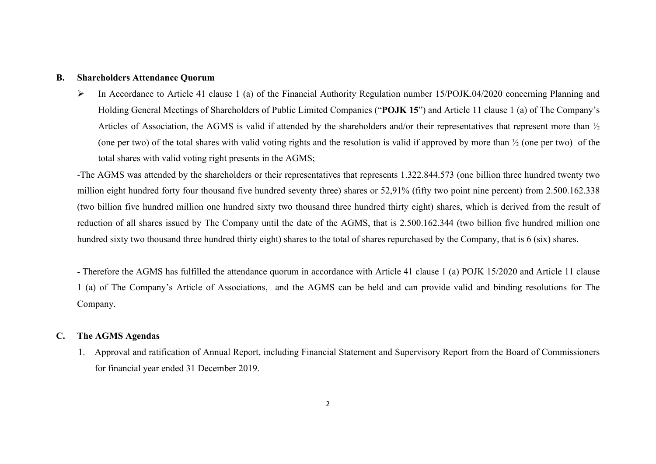#### **B. Shareholders Attendance Quorum**

Ø In Accordance to Article 41 clause 1 (a) of the Financial Authority Regulation number 15/POJK.04/2020 concerning Planning and Holding General Meetings of Shareholders of Public Limited Companies ("**POJK 15**") and Article 11 clause 1 (a) of The Company's Articles of Association, the AGMS is valid if attended by the shareholders and/or their representatives that represent more than  $\frac{1}{2}$ (one per two) of the total shares with valid voting rights and the resolution is valid if approved by more than ½ (one per two) of the total shares with valid voting right presents in the AGMS;

-The AGMS was attended by the shareholders or their representatives that represents 1.322.844.573 (one billion three hundred twenty two million eight hundred forty four thousand five hundred seventy three) shares or 52,91% (fifty two point nine percent) from 2.500.162.338 (two billion five hundred million one hundred sixty two thousand three hundred thirty eight) shares, which is derived from the result of reduction of all shares issued by The Company until the date of the AGMS, that is 2.500.162.344 (two billion five hundred million one hundred sixty two thousand three hundred thirty eight) shares to the total of shares repurchased by the Company, that is 6 (six) shares.

- Therefore the AGMS has fulfilled the attendance quorum in accordance with Article 41 clause 1 (a) POJK 15/2020 and Article 11 clause 1 (a) of The Company's Article of Associations, and the AGMS can be held and can provide valid and binding resolutions for The Company.

#### **C. The AGMS Agendas**

1. Approval and ratification of Annual Report, including Financial Statement and Supervisory Report from the Board of Commissioners for financial year ended 31 December 2019.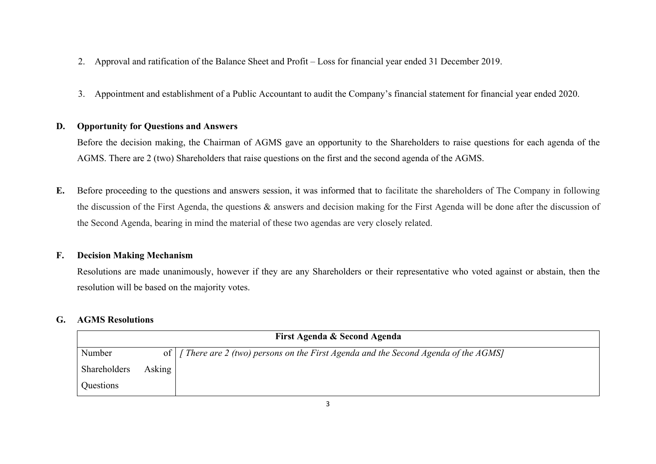- 2. Approval and ratification of the Balance Sheet and Profit Loss for financial year ended 31 December 2019.
- 3. Appointment and establishment of a Public Accountant to audit the Company's financial statement for financial year ended 2020.

#### **D. Opportunity for Questions and Answers**

Before the decision making, the Chairman of AGMS gave an opportunity to the Shareholders to raise questions for each agenda of the AGMS. There are 2 (two) Shareholders that raise questions on the first and the second agenda of the AGMS.

**E.** Before proceeding to the questions and answers session, it was informed that to facilitate the shareholders of The Company in following the discussion of the First Agenda, the questions & answers and decision making for the First Agenda will be done after the discussion of the Second Agenda, bearing in mind the material of these two agendas are very closely related.

#### **F. Decision Making Mechanism**

Resolutions are made unanimously, however if they are any Shareholders or their representative who voted against or abstain, then the resolution will be based on the majority votes.

### **G. AGMS Resolutions**

| First Agenda & Second Agenda |        |                                                                                                      |
|------------------------------|--------|------------------------------------------------------------------------------------------------------|
| Number                       |        | of $\vert$ <i>[</i> There are 2 (two) persons on the First Agenda and the Second Agenda of the AGMS] |
| Shareholders                 | Asking |                                                                                                      |
| Questions                    |        |                                                                                                      |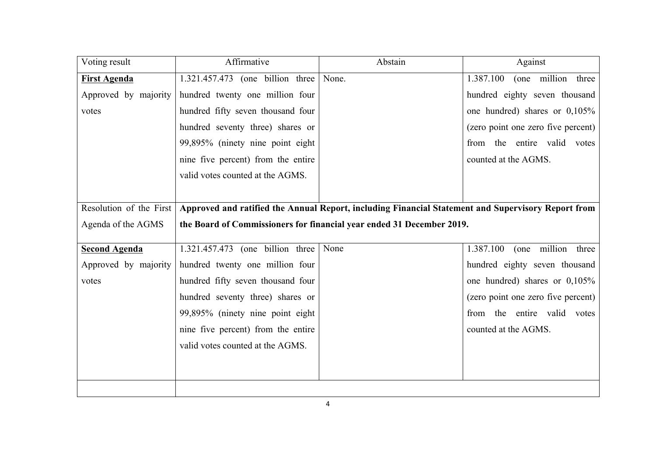| Voting result           | Affirmative                        | Abstain                                                                                            | Against                            |
|-------------------------|------------------------------------|----------------------------------------------------------------------------------------------------|------------------------------------|
| <b>First Agenda</b>     | 1.321.457.473 (one billion three   | None.                                                                                              | 1.387.100<br>(one million three    |
| Approved by majority    | hundred twenty one million four    |                                                                                                    | hundred eighty seven thousand      |
| votes                   | hundred fifty seven thousand four  |                                                                                                    | one hundred) shares or 0,105%      |
|                         | hundred seventy three) shares or   |                                                                                                    | (zero point one zero five percent) |
|                         | 99,895% (ninety nine point eight   |                                                                                                    | from the entire valid votes        |
|                         | nine five percent) from the entire |                                                                                                    | counted at the AGMS.               |
|                         | valid votes counted at the AGMS.   |                                                                                                    |                                    |
|                         |                                    |                                                                                                    |                                    |
| Resolution of the First |                                    | Approved and ratified the Annual Report, including Financial Statement and Supervisory Report from |                                    |
| Agenda of the AGMS      |                                    | the Board of Commissioners for financial year ended 31 December 2019.                              |                                    |
|                         |                                    |                                                                                                    |                                    |
| <b>Second Agenda</b>    | 1.321.457.473 (one billion three   | None                                                                                               | 1.387.100<br>(one million three    |
| Approved by majority    | hundred twenty one million four    |                                                                                                    | hundred eighty seven thousand      |
| votes                   | hundred fifty seven thousand four  |                                                                                                    | one hundred) shares or 0,105%      |
|                         | hundred seventy three) shares or   |                                                                                                    | (zero point one zero five percent) |
|                         | 99,895% (ninety nine point eight)  |                                                                                                    | from the entire valid votes        |
|                         | nine five percent) from the entire |                                                                                                    | counted at the AGMS.               |
|                         | valid votes counted at the AGMS.   |                                                                                                    |                                    |
|                         |                                    |                                                                                                    |                                    |
|                         |                                    |                                                                                                    |                                    |
|                         |                                    |                                                                                                    |                                    |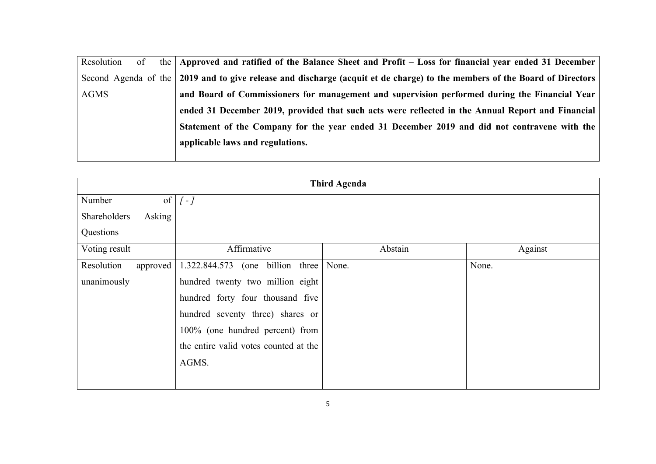| Resolution<br>of | the   Approved and ratified of the Balance Sheet and Profit – Loss for financial year ended 31 December                    |
|------------------|----------------------------------------------------------------------------------------------------------------------------|
|                  | Second Agenda of the 2019 and to give release and discharge (acquit et de charge) to the members of the Board of Directors |
| <b>AGMS</b>      | and Board of Commissioners for management and supervision performed during the Financial Year                              |
|                  | ended 31 December 2019, provided that such acts were reflected in the Annual Report and Financial                          |
|                  | Statement of the Company for the year ended 31 December 2019 and did not contravene with the                               |
|                  | applicable laws and regulations.                                                                                           |
|                  |                                                                                                                            |

| <b>Third Agenda</b>    |                                       |         |         |
|------------------------|---------------------------------------|---------|---------|
| Number                 | of $\lfloor$ $\lceil$ - $\rfloor$     |         |         |
| Shareholders<br>Asking |                                       |         |         |
| Questions              |                                       |         |         |
| Voting result          | Affirmative                           | Abstain | Against |
| Resolution<br>approved | (one billion three<br>1.322.844.573   | None.   | None.   |
| unanimously            | hundred twenty two million eight      |         |         |
|                        | hundred forty four thousand five      |         |         |
|                        | hundred seventy three) shares or      |         |         |
|                        | 100% (one hundred percent) from       |         |         |
|                        | the entire valid votes counted at the |         |         |
|                        | AGMS.                                 |         |         |
|                        |                                       |         |         |